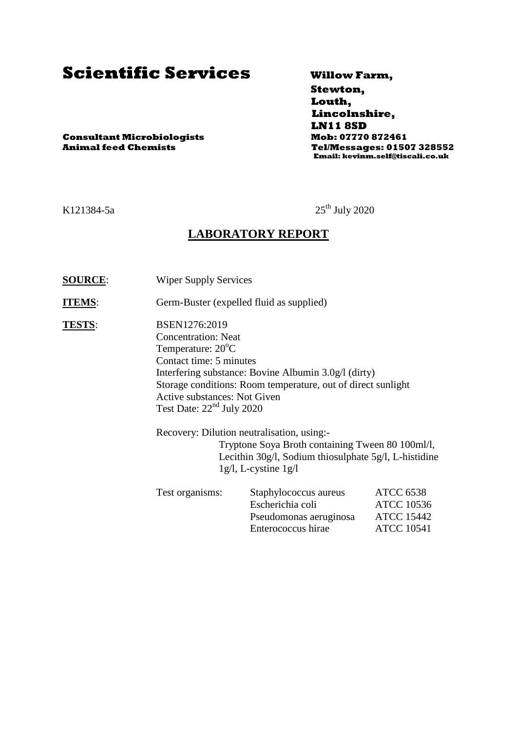# **Scientific Services Willow Farm,**

 **Stewton, Louth, Lincolnshire, LN11 8SD Animal feed Chemists Tel/Messages: 01507 328552 Email: kevinm.self@tiscali.co.uk**

**Consultant Microbiologists Mob: 07770 872461**

K121384-5a  $25^{th}$  July 2020

#### **LABORATORY REPORT**

**SOURCE:** Wiper Supply Services

**ITEMS:** Germ-Buster (expelled fluid as supplied)

**TESTS:** BSEN1276:2019 Concentration: Neat Temperature:  $20^{\circ}$ C Contact time: 5 minutes Interfering substance: Bovine Albumin 3.0g/l (dirty) Storage conditions: Room temperature, out of direct sunlight Active substances: Not Given Test Date: 22<sup>nd</sup> July 2020

> Recovery: Dilution neutralisation, using:- Tryptone Soya Broth containing Tween 80 100ml/l, Lecithin 30g/l, Sodium thiosulphate 5g/l, L-histidine 1g/l, L-cystine 1g/l

| Test organisms: | Staphylococcus aureus  | <b>ATCC 6538</b>  |
|-----------------|------------------------|-------------------|
|                 | Escherichia coli       | <b>ATCC 10536</b> |
|                 | Pseudomonas aeruginosa | <b>ATCC 15442</b> |
|                 | Enterococcus hirae     | <b>ATCC 10541</b> |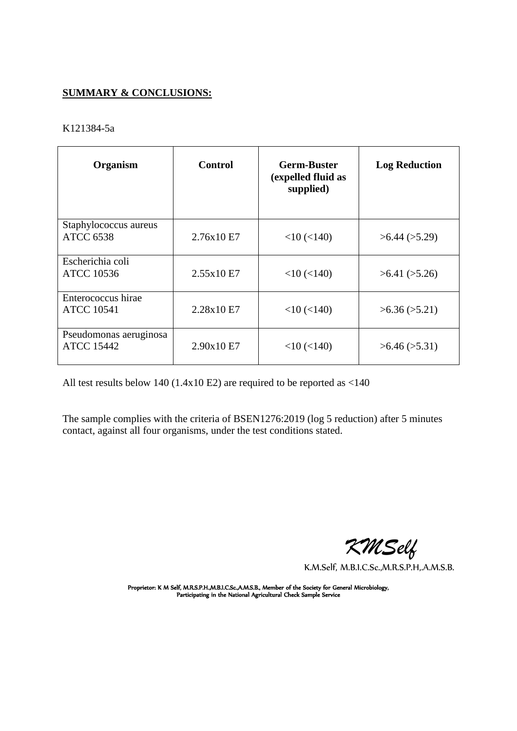#### **SUMMARY & CONCLUSIONS:**

#### K121384-5a

| Organism                                    | <b>Control</b> | <b>Germ-Buster</b><br>(expelled fluid as<br>supplied) | <b>Log Reduction</b> |
|---------------------------------------------|----------------|-------------------------------------------------------|----------------------|
| Staphylococcus aureus<br><b>ATCC 6538</b>   | 2.76x10 E7     | $<$ 10 $(<$ 140)                                      | $>6.44$ ( $>5.29$ )  |
| Escherichia coli<br><b>ATCC 10536</b>       | 2.55x10E7      | $<$ 10 ( $<$ 140)                                     | >6.41 (>5.26)        |
| Enterococcus hirae<br><b>ATCC 10541</b>     | 2.28x10 E7     | $<$ 10 ( $<$ 140)                                     | >6.36 (>5.21)        |
| Pseudomonas aeruginosa<br><b>ATCC 15442</b> | 2.90x10 E7     | $<$ 10 ( $<$ 140)                                     | >6.46 (>5.31)        |

All test results below 140 (1.4x10 E2) are required to be reported as <140

The sample complies with the criteria of BSEN1276:2019 (log 5 reduction) after 5 minutes contact, against all four organisms, under the test conditions stated.

 *KMSelf*

K.M.Self, M.B.I.C.Sc.,M.R.S.P.H,.A.M.S.B.

Proprietor: K M Self, M.R.S.P.H.,M.B.I.C.Sc.,A.M.S.B., Member of the Society for General Microbiology, Participating in the National Agricultural Check Sample Service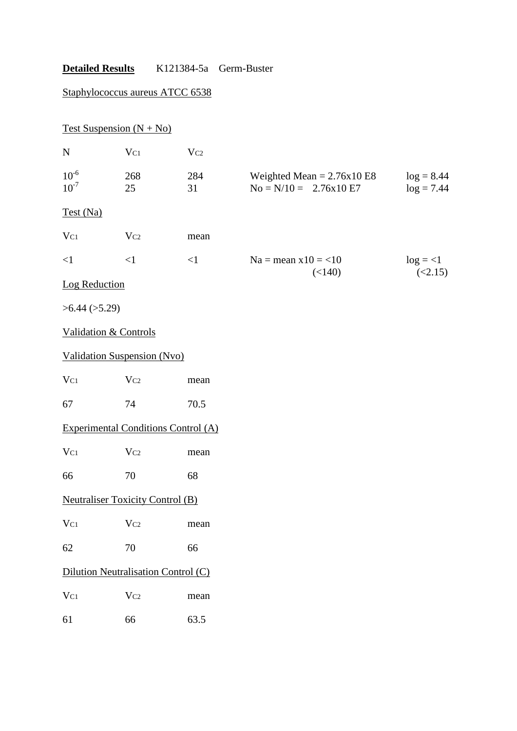## Staphylococcus aureus ATCC 6538

|                        | Test Suspension $(N + No)$                 |           |                                                         |                              |
|------------------------|--------------------------------------------|-----------|---------------------------------------------------------|------------------------------|
| ${\bf N}$              | $V_{C1}$                                   | $V_{C2}$  |                                                         |                              |
| $10^{-6}$<br>$10^{-7}$ | 268<br>25                                  | 284<br>31 | Weighted Mean = $2.76x10E8$<br>$No = N/10 = 2.76x10 E7$ | $log = 8.44$<br>$log = 7.44$ |
| Test (Na)              |                                            |           |                                                         |                              |
| $V_{C1}$               | $V_{C2}$                                   | mean      |                                                         |                              |
| $\leq$ 1               | $\leq$ 1                                   | $\leq$ 1  | $Na = mean x10 = <10$                                   | $log = <1$                   |
| <b>Log Reduction</b>   |                                            |           | (<140)                                                  | (<2.15)                      |
| >6.44 (>5.29)          |                                            |           |                                                         |                              |
|                        | <b>Validation &amp; Controls</b>           |           |                                                         |                              |
|                        | <b>Validation Suspension (Nvo)</b>         |           |                                                         |                              |
| $V_{C1}$               | $V_{C2}$                                   | mean      |                                                         |                              |
| 67                     | 74                                         | 70.5      |                                                         |                              |
|                        | <b>Experimental Conditions Control (A)</b> |           |                                                         |                              |
| $V_{C1}$               | Vc2                                        | mean      |                                                         |                              |
| 66                     | 70                                         | 68        |                                                         |                              |
|                        | <b>Neutraliser Toxicity Control (B)</b>    |           |                                                         |                              |
| $V_{C1}$               | $V_{C2}$                                   | mean      |                                                         |                              |
| 62                     | 70                                         | 66        |                                                         |                              |
|                        | Dilution Neutralisation Control (C)        |           |                                                         |                              |
| $V_{C1}$               | Vc2                                        | mean      |                                                         |                              |
| 61                     | 66                                         | 63.5      |                                                         |                              |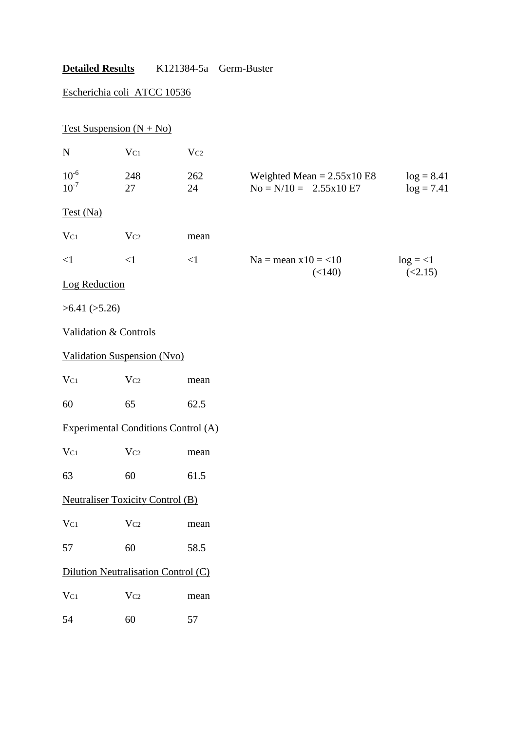## Escherichia coli ATCC 10536

|                        | Test Suspension $(N + No)$                 |           |                                                         |                              |
|------------------------|--------------------------------------------|-----------|---------------------------------------------------------|------------------------------|
| $\mathbf N$            | $V_{C1}$                                   | $V_{C2}$  |                                                         |                              |
| $10^{-6}$<br>$10^{-7}$ | 248<br>27                                  | 262<br>24 | Weighted Mean = $2.55x10E8$<br>$No = N/10 = 2.55x10 E7$ | $log = 8.41$<br>$log = 7.41$ |
| Test (Na)              |                                            |           |                                                         |                              |
| $V_{C1}$               | $V_{C2}$                                   | mean      |                                                         |                              |
| $\leq$ 1               | <1                                         | $\leq$ 1  | $Na = mean x10 = 10$                                    | $log = <1$                   |
| Log Reduction          |                                            |           | (<140)                                                  | (<2.15)                      |
| >6.41 (>5.26)          |                                            |           |                                                         |                              |
|                        | <b>Validation &amp; Controls</b>           |           |                                                         |                              |
|                        | <b>Validation Suspension (Nvo)</b>         |           |                                                         |                              |
| $V_{C1}$               | $V_{C2}$                                   | mean      |                                                         |                              |
| 60                     | 65                                         | 62.5      |                                                         |                              |
|                        | <b>Experimental Conditions Control (A)</b> |           |                                                         |                              |
| $V_{C1}$               | $V_{C2}$                                   | mean      |                                                         |                              |
| 63                     | 60                                         | 61.5      |                                                         |                              |
|                        | <b>Neutraliser Toxicity Control (B)</b>    |           |                                                         |                              |
| $V_{C1}$               | $V_{C2}$                                   | mean      |                                                         |                              |
| 57                     | 60                                         | 58.5      |                                                         |                              |
|                        | Dilution Neutralisation Control (C)        |           |                                                         |                              |
| $V_{C1}$               | Vc2                                        | mean      |                                                         |                              |
| 54                     | 60                                         | 57        |                                                         |                              |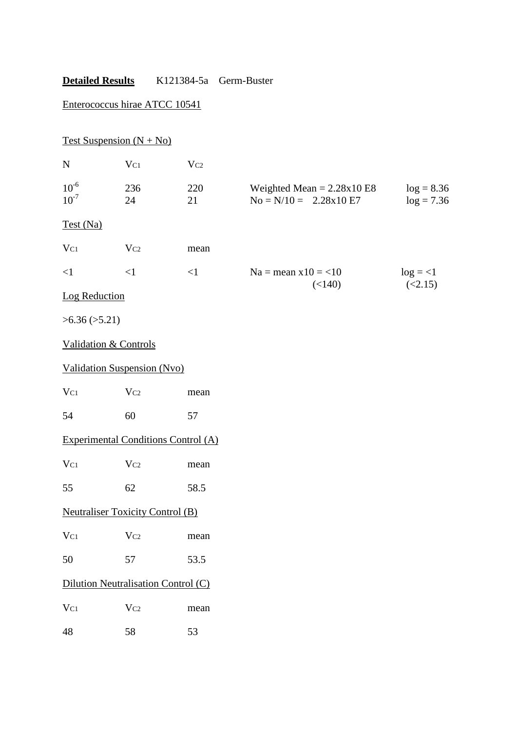## Enterococcus hirae ATCC 10541

| Test Suspension $(N + No)$ |                                            |           |                                                                 |                              |
|----------------------------|--------------------------------------------|-----------|-----------------------------------------------------------------|------------------------------|
| N                          | $V_{C1}$                                   | Vc2       |                                                                 |                              |
| $10^{-6}$<br>$10^{-7}$     | 236<br>24                                  | 220<br>21 | Weighted Mean = $2.28 \times 10$ E8<br>$No = N/10 = 2.28x10 E7$ | $log = 8.36$<br>$log = 7.36$ |
| Test (Na)                  |                                            |           |                                                                 |                              |
| $V_{C1}$                   | Vc2                                        | mean      |                                                                 |                              |
| $\leq$ 1                   | $\leq$ 1                                   | $\leq$ 1  | $Na = mean x10 = 10$                                            | $log = <1$                   |
| Log Reduction              |                                            |           | (<140)                                                          | (<2.15)                      |
| >6.36 (>5.21)              |                                            |           |                                                                 |                              |
| Validation & Controls      |                                            |           |                                                                 |                              |
|                            | Validation Suspension (Nvo)                |           |                                                                 |                              |
| $V_{C1}$                   | $V_{C2}$                                   | mean      |                                                                 |                              |
| 54                         | 60                                         | 57        |                                                                 |                              |
|                            | <b>Experimental Conditions Control (A)</b> |           |                                                                 |                              |
| $V_{C1}$                   | $V_{C2}$                                   | mean      |                                                                 |                              |
| 55                         | 62                                         | 58.5      |                                                                 |                              |
|                            | <b>Neutraliser Toxicity Control (B)</b>    |           |                                                                 |                              |
| $V_{C1}$                   | Vc2                                        | mean      |                                                                 |                              |
| 50                         | 57                                         | 53.5      |                                                                 |                              |
|                            | Dilution Neutralisation Control (C)        |           |                                                                 |                              |
| $V_{C1}$                   | Vc2                                        | mean      |                                                                 |                              |
| 48                         | 58                                         | 53        |                                                                 |                              |
|                            |                                            |           |                                                                 |                              |